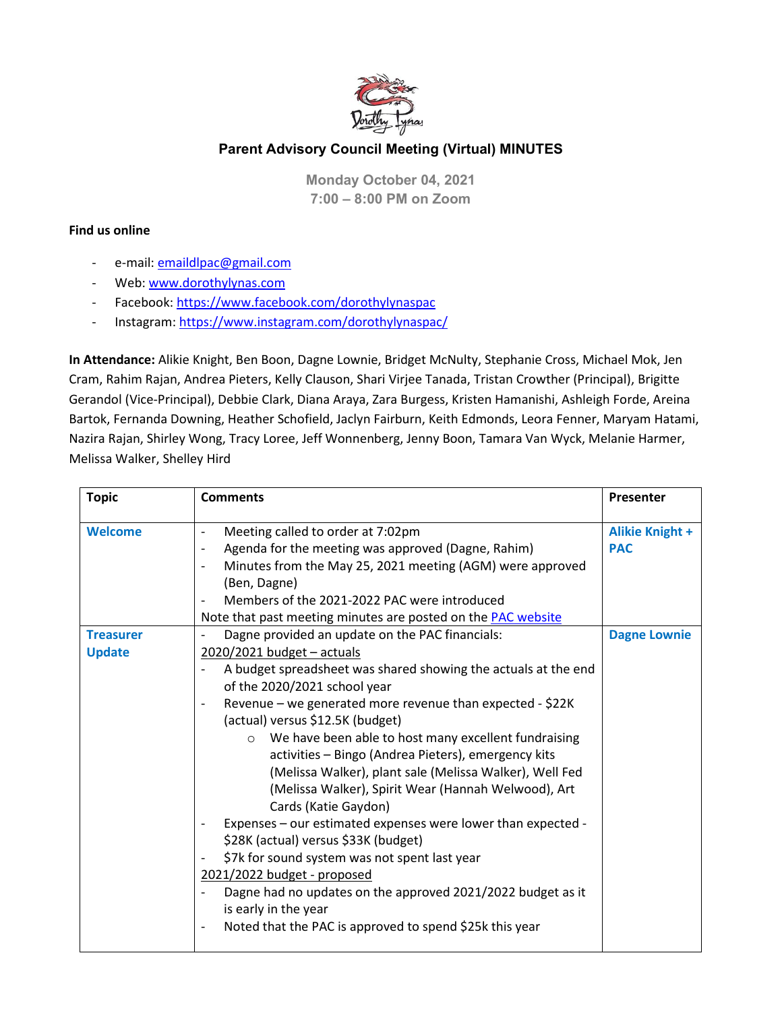

## **Parent Advisory Council Meeting (Virtual) MINUTES**

**Monday October 04, 2021 7:00 – 8:00 PM on Zoom**

## **Find us online**

- e-mail: emaildlpac@gmail.com
- Web: www.dorothylynas.com
- Facebook:<https://www.facebook.com/dorothylynaspac>
- Instagram:<https://www.instagram.com/dorothylynaspac/>

**In Attendance:** Alikie Knight, Ben Boon, Dagne Lownie, Bridget McNulty, Stephanie Cross, Michael Mok, Jen Cram, Rahim Rajan, Andrea Pieters, Kelly Clauson, Shari Virjee Tanada, Tristan Crowther (Principal), Brigitte Gerandol (Vice-Principal), Debbie Clark, Diana Araya, Zara Burgess, Kristen Hamanishi, Ashleigh Forde, Areina Bartok, Fernanda Downing, Heather Schofield, Jaclyn Fairburn, Keith Edmonds, Leora Fenner, Maryam Hatami, Nazira Rajan, Shirley Wong, Tracy Loree, Jeff Wonnenberg, Jenny Boon, Tamara Van Wyck, Melanie Harmer, Melissa Walker, Shelley Hird

| <b>Topic</b>                      | <b>Comments</b>                                                                                                                                                                                                                                                                                                                                                                                                                                                                                                                                                                                                                                                                                                                                                                                                                                                                                  | Presenter                            |
|-----------------------------------|--------------------------------------------------------------------------------------------------------------------------------------------------------------------------------------------------------------------------------------------------------------------------------------------------------------------------------------------------------------------------------------------------------------------------------------------------------------------------------------------------------------------------------------------------------------------------------------------------------------------------------------------------------------------------------------------------------------------------------------------------------------------------------------------------------------------------------------------------------------------------------------------------|--------------------------------------|
| <b>Welcome</b>                    | Meeting called to order at 7:02pm<br>Agenda for the meeting was approved (Dagne, Rahim)<br>Minutes from the May 25, 2021 meeting (AGM) were approved<br>(Ben, Dagne)<br>Members of the 2021-2022 PAC were introduced<br>Note that past meeting minutes are posted on the <b>PAC website</b>                                                                                                                                                                                                                                                                                                                                                                                                                                                                                                                                                                                                      | <b>Alikie Knight +</b><br><b>PAC</b> |
| <b>Treasurer</b><br><b>Update</b> | Dagne provided an update on the PAC financials:<br>$2020/2021$ budget - actuals<br>A budget spreadsheet was shared showing the actuals at the end<br>of the 2020/2021 school year<br>Revenue – we generated more revenue than expected - \$22K<br>(actual) versus \$12.5K (budget)<br>We have been able to host many excellent fundraising<br>$\circ$<br>activities - Bingo (Andrea Pieters), emergency kits<br>(Melissa Walker), plant sale (Melissa Walker), Well Fed<br>(Melissa Walker), Spirit Wear (Hannah Welwood), Art<br>Cards (Katie Gaydon)<br>Expenses - our estimated expenses were lower than expected -<br>\$28K (actual) versus \$33K (budget)<br>\$7k for sound system was not spent last year<br>2021/2022 budget - proposed<br>Dagne had no updates on the approved 2021/2022 budget as it<br>is early in the year<br>Noted that the PAC is approved to spend \$25k this year | <b>Dagne Lownie</b>                  |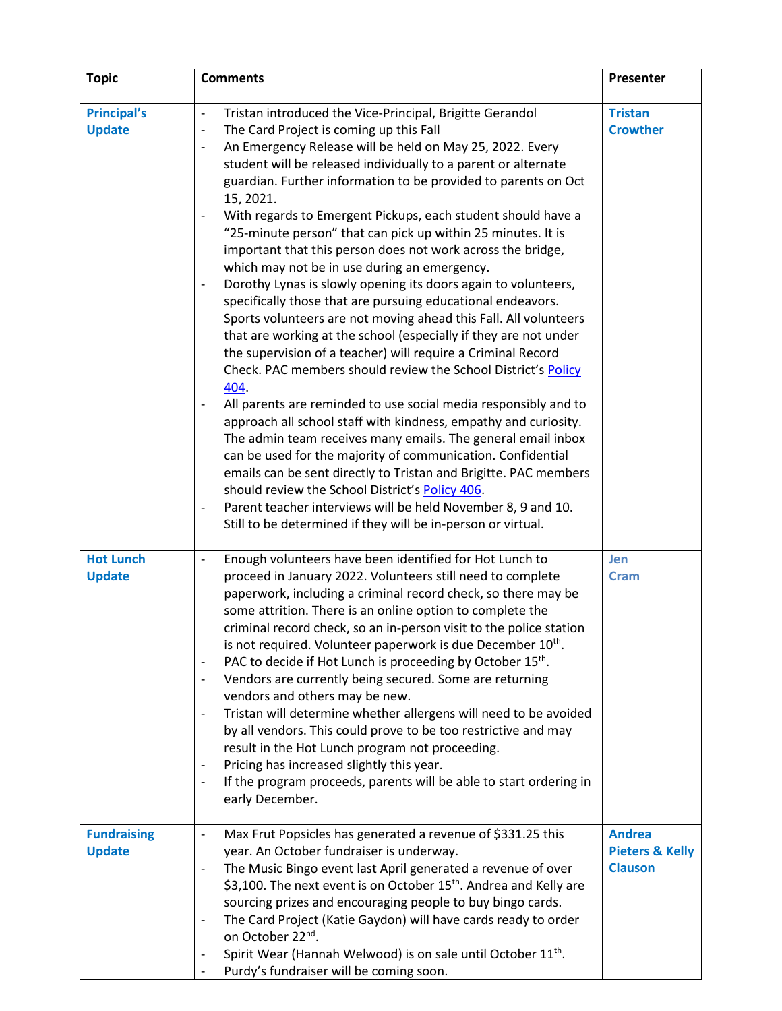| <b>Topic</b>                        | <b>Comments</b>                                                                                                                                                                                                                                                                                                                                                                                                                                                                                                                                                                                                                                                                                                                                                                                                                                                                                                                                                                                                                                                                                                                                                                                                                                                                                                                                                                                                                                                                                                                                                                                       | Presenter                                                     |
|-------------------------------------|-------------------------------------------------------------------------------------------------------------------------------------------------------------------------------------------------------------------------------------------------------------------------------------------------------------------------------------------------------------------------------------------------------------------------------------------------------------------------------------------------------------------------------------------------------------------------------------------------------------------------------------------------------------------------------------------------------------------------------------------------------------------------------------------------------------------------------------------------------------------------------------------------------------------------------------------------------------------------------------------------------------------------------------------------------------------------------------------------------------------------------------------------------------------------------------------------------------------------------------------------------------------------------------------------------------------------------------------------------------------------------------------------------------------------------------------------------------------------------------------------------------------------------------------------------------------------------------------------------|---------------------------------------------------------------|
| <b>Principal's</b><br><b>Update</b> | Tristan introduced the Vice-Principal, Brigitte Gerandol<br>$\overline{\phantom{a}}$<br>The Card Project is coming up this Fall<br>$\overline{\phantom{a}}$<br>An Emergency Release will be held on May 25, 2022. Every<br>student will be released individually to a parent or alternate<br>guardian. Further information to be provided to parents on Oct<br>15, 2021.<br>With regards to Emergent Pickups, each student should have a<br>"25-minute person" that can pick up within 25 minutes. It is<br>important that this person does not work across the bridge,<br>which may not be in use during an emergency.<br>Dorothy Lynas is slowly opening its doors again to volunteers,<br>specifically those that are pursuing educational endeavors.<br>Sports volunteers are not moving ahead this Fall. All volunteers<br>that are working at the school (especially if they are not under<br>the supervision of a teacher) will require a Criminal Record<br>Check. PAC members should review the School District's Policy<br>404.<br>All parents are reminded to use social media responsibly and to<br>approach all school staff with kindness, empathy and curiosity.<br>The admin team receives many emails. The general email inbox<br>can be used for the majority of communication. Confidential<br>emails can be sent directly to Tristan and Brigitte. PAC members<br>should review the School District's Policy 406.<br>Parent teacher interviews will be held November 8, 9 and 10.<br>$\qquad \qquad \blacksquare$<br>Still to be determined if they will be in-person or virtual. | <b>Tristan</b><br><b>Crowther</b>                             |
| <b>Hot Lunch</b><br><b>Update</b>   | Enough volunteers have been identified for Hot Lunch to<br>$\overline{\phantom{a}}$<br>proceed in January 2022. Volunteers still need to complete<br>paperwork, including a criminal record check, so there may be<br>some attrition. There is an online option to complete the<br>criminal record check, so an in-person visit to the police station<br>is not required. Volunteer paperwork is due December 10 <sup>th</sup> .<br>PAC to decide if Hot Lunch is proceeding by October 15th.<br>Vendors are currently being secured. Some are returning<br>vendors and others may be new.<br>Tristan will determine whether allergens will need to be avoided<br>by all vendors. This could prove to be too restrictive and may<br>result in the Hot Lunch program not proceeding.<br>Pricing has increased slightly this year.<br>$\overline{\phantom{a}}$<br>If the program proceeds, parents will be able to start ordering in<br>early December.                                                                                                                                                                                                                                                                                                                                                                                                                                                                                                                                                                                                                                                 | Jen<br><b>Cram</b>                                            |
| <b>Fundraising</b><br><b>Update</b> | Max Frut Popsicles has generated a revenue of \$331.25 this<br>$\qquad \qquad \blacksquare$<br>year. An October fundraiser is underway.<br>The Music Bingo event last April generated a revenue of over<br>\$3,100. The next event is on October 15 <sup>th</sup> . Andrea and Kelly are<br>sourcing prizes and encouraging people to buy bingo cards.<br>The Card Project (Katie Gaydon) will have cards ready to order<br>on October 22 <sup>nd</sup> .<br>Spirit Wear (Hannah Welwood) is on sale until October 11 <sup>th</sup> .<br>Purdy's fundraiser will be coming soon.                                                                                                                                                                                                                                                                                                                                                                                                                                                                                                                                                                                                                                                                                                                                                                                                                                                                                                                                                                                                                      | <b>Andrea</b><br><b>Pieters &amp; Kelly</b><br><b>Clauson</b> |